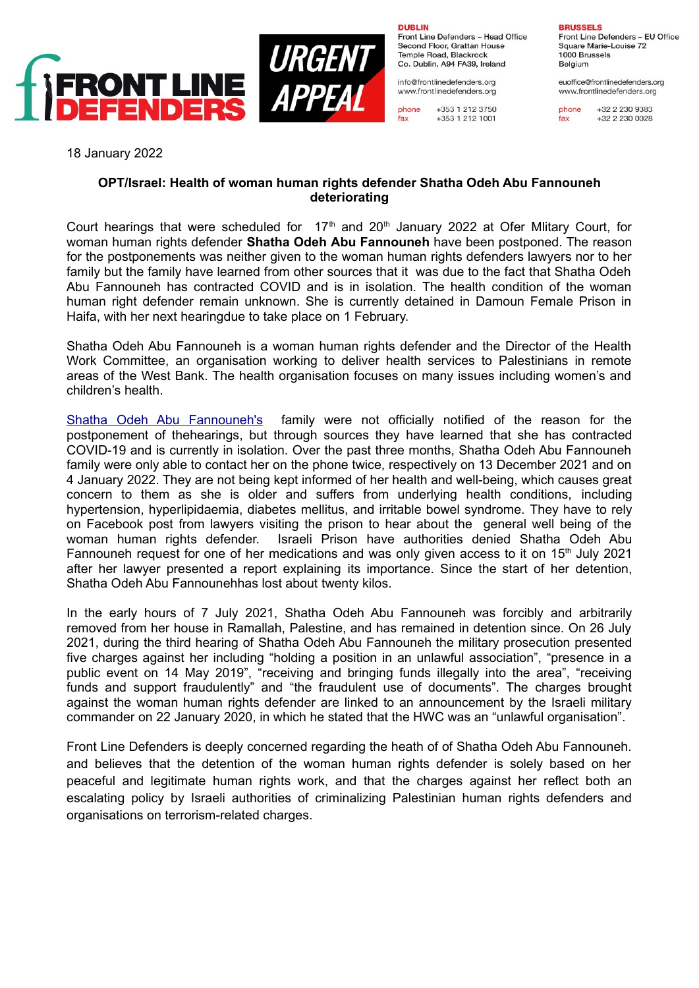



**DUBLIN** Front Line Defenders - Head Office Second Floor, Grattan House Temple Road, Blackrock Co. Dublin, A94 FA39, Ireland

info@frontlinedefenders.org www.frontlinedefenders.org

phone +353 1 212 3750 fax +353 1 212 1001 **BRUSSELS** Front Line Defenders - EU Office Square Marie-Louise 72 1000 Brussels

euoffice@frontlinedefenders.org www.frontlinedefenders.org

Belgium

phone +32 2 230 9383 fax +32 2 230 0028

18 January 2022

## **OPT/Israel: Health of woman human rights defender Shatha Odeh Abu Fannouneh deteriorating**

Court hearings that were scheduled for 17<sup>th</sup> and 20<sup>th</sup> January 2022 at Ofer Miltary Court. for woman human rights defender **Shatha Odeh Abu Fannouneh** have been postponed. The reason for the postponements was neither given to the woman human rights defenders lawyers nor to her family but the family have learned from other sources that it was due to the fact that Shatha Odeh Abu Fannouneh has contracted COVID and is in isolation. The health condition of the woman human right defender remain unknown. She is currently detained in Damoun Female Prison in Haifa, with her next hearingdue to take place on 1 February.

Shatha Odeh Abu Fannouneh is a woman human rights defender and the Director of the Health Work Committee, an organisation working to deliver health services to Palestinians in remote areas of the West Bank. The health organisation focuses on many issues including women's and children's health.

[Shatha Odeh Abu Fannouneh's](https://www.frontlinedefenders.org/en/case/new-hearing-session-woman-human-rights-defender-shatha-odeh) family were not officially notified of the reason for the postponement of thehearings, but through sources they have learned that she has contracted COVID-19 and is currently in isolation. Over the past three months, Shatha Odeh Abu Fannouneh family were only able to contact her on the phone twice, respectively on 13 December 2021 and on 4 January 2022. They are not being kept informed of her health and well-being, which causes great concern to them as she is older and suffers from underlying health conditions, including hypertension, hyperlipidaemia, diabetes mellitus, and irritable bowel syndrome. They have to rely on Facebook post from lawyers visiting the prison to hear about the general well being of the woman human rights defender. Israeli Prison have authorities denied Shatha Odeh Abu Fannouneh request for one of her medications and was only given access to it on  $15<sup>th</sup>$  July 2021 after her lawyer presented a report explaining its importance. Since the start of her detention, Shatha Odeh Abu Fannounehhas lost about twenty kilos.

In the early hours of 7 July 2021, Shatha Odeh Abu Fannouneh was forcibly and arbitrarily removed from her house in Ramallah, Palestine, and has remained in detention since. On 26 July 2021, during the third hearing of Shatha Odeh Abu Fannouneh the military prosecution presented five charges against her including "holding a position in an unlawful association", "presence in a public event on 14 May 2019", "receiving and bringing funds illegally into the area", "receiving funds and support fraudulently" and "the fraudulent use of documents". The charges brought against the woman human rights defender are linked to an announcement by the Israeli military commander on 22 January 2020, in which he stated that the HWC was an "unlawful organisation".

Front Line Defenders is deeply concerned regarding the heath of of Shatha Odeh Abu Fannouneh. and believes that the detention of the woman human rights defender is solely based on her peaceful and legitimate human rights work, and that the charges against her reflect both an escalating policy by Israeli authorities of criminalizing Palestinian human rights defenders and organisations on terrorism-related charges.